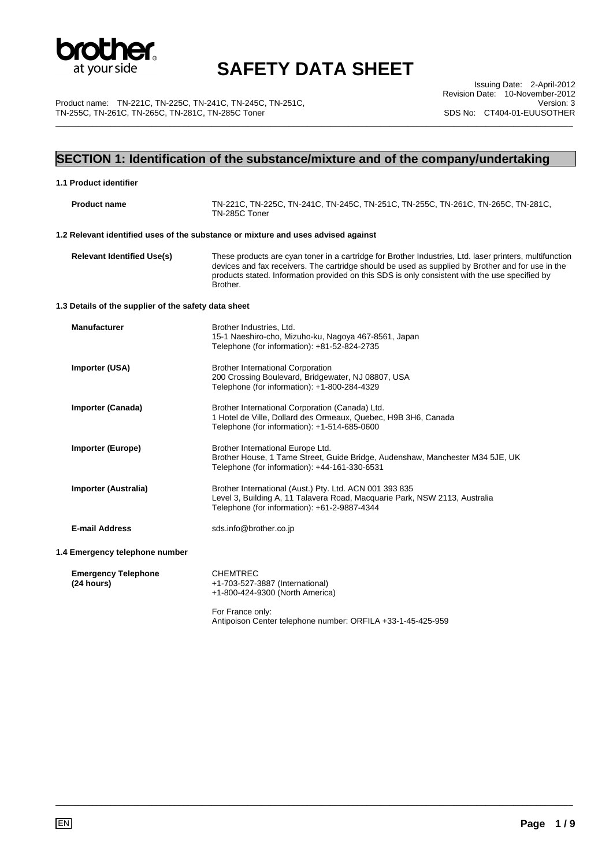

\_\_\_\_\_\_\_\_\_\_\_\_\_\_\_\_\_\_\_\_\_\_\_\_\_\_\_\_\_\_\_\_\_\_\_\_\_\_\_\_\_\_\_\_\_\_\_\_\_\_\_\_\_\_\_\_\_\_\_\_\_\_\_\_\_\_\_\_\_\_\_\_\_\_\_\_\_\_\_\_\_\_\_\_\_\_\_\_\_\_\_\_\_\_\_\_\_\_\_\_\_\_\_\_\_\_\_\_\_\_\_\_\_

Product name: TN-221C, TN-225C, TN-241C, TN-245C, TN-251C, TN-255C, TN-261C, TN-265C, TN-281C, TN-285C Toner

Issuing Date: 2-April-2012 Revision Date: 10-November-2012 Version: 3 SDS No: CT404-01-EUUSOTHER

## **SECTION 1: Identification of the substance/mixture and of the company/undertaking**

| 1.1 Product identifier                               |                                                                                                                                                                                                                                                                                                                            |
|------------------------------------------------------|----------------------------------------------------------------------------------------------------------------------------------------------------------------------------------------------------------------------------------------------------------------------------------------------------------------------------|
| <b>Product name</b>                                  | TN-221C, TN-225C, TN-241C, TN-245C, TN-251C, TN-255C, TN-261C, TN-265C, TN-281C,<br>TN-285C Toner                                                                                                                                                                                                                          |
|                                                      | 1.2 Relevant identified uses of the substance or mixture and uses advised against                                                                                                                                                                                                                                          |
| <b>Relevant Identified Use(s)</b>                    | These products are cyan toner in a cartridge for Brother Industries, Ltd. laser printers, multifunction<br>devices and fax receivers. The cartridge should be used as supplied by Brother and for use in the<br>products stated. Information provided on this SDS is only consistent with the use specified by<br>Brother. |
| 1.3 Details of the supplier of the safety data sheet |                                                                                                                                                                                                                                                                                                                            |
| <b>Manufacturer</b>                                  | Brother Industries, Ltd.<br>15-1 Naeshiro-cho, Mizuho-ku, Nagoya 467-8561, Japan<br>Telephone (for information): +81-52-824-2735                                                                                                                                                                                           |
| Importer (USA)                                       | <b>Brother International Corporation</b><br>200 Crossing Boulevard, Bridgewater, NJ 08807, USA<br>Telephone (for information): +1-800-284-4329                                                                                                                                                                             |
| Importer (Canada)                                    | Brother International Corporation (Canada) Ltd.<br>1 Hotel de Ville, Dollard des Ormeaux, Quebec, H9B 3H6, Canada<br>Telephone (for information): +1-514-685-0600                                                                                                                                                          |
| <b>Importer (Europe)</b>                             | Brother International Europe Ltd.<br>Brother House, 1 Tame Street, Guide Bridge, Audenshaw, Manchester M34 5JE, UK<br>Telephone (for information): +44-161-330-6531                                                                                                                                                        |
| Importer (Australia)                                 | Brother International (Aust.) Pty. Ltd. ACN 001 393 835<br>Level 3, Building A, 11 Talavera Road, Macquarie Park, NSW 2113, Australia<br>Telephone (for information): +61-2-9887-4344                                                                                                                                      |
| <b>E-mail Address</b>                                | sds.info@brother.co.jp                                                                                                                                                                                                                                                                                                     |
| 1.4 Emergency telephone number                       |                                                                                                                                                                                                                                                                                                                            |
| <b>Emergency Telephone</b><br>(24 hours)             | <b>CHEMTREC</b><br>+1-703-527-3887 (International)<br>+1-800-424-9300 (North America)                                                                                                                                                                                                                                      |
|                                                      | For France only:<br>Antipoison Center telephone number: ORFILA +33-1-45-425-959                                                                                                                                                                                                                                            |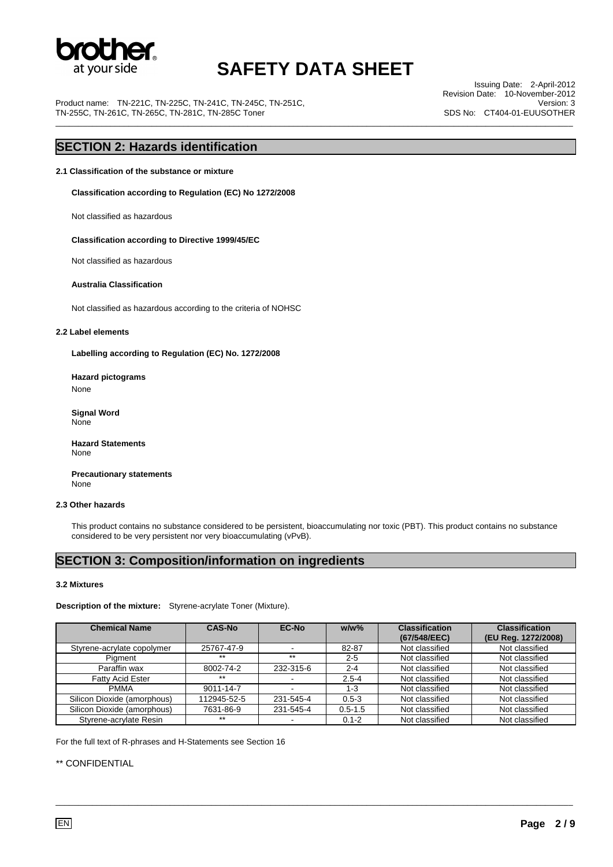

\_\_\_\_\_\_\_\_\_\_\_\_\_\_\_\_\_\_\_\_\_\_\_\_\_\_\_\_\_\_\_\_\_\_\_\_\_\_\_\_\_\_\_\_\_\_\_\_\_\_\_\_\_\_\_\_\_\_\_\_\_\_\_\_\_\_\_\_\_\_\_\_\_\_\_\_\_\_\_\_\_\_\_\_\_\_\_\_\_\_\_\_\_\_\_\_\_\_\_\_\_\_\_\_\_\_\_\_\_\_\_\_\_

Product name: TN-221C, TN-225C, TN-241C, TN-245C, TN-251C, TN-255C, TN-261C, TN-265C, TN-281C, TN-285C Toner

Issuing Date: 2-April-2012 Revision Date: 10-November-2012 Version: 3 SDS No: CT404-01-EUUSOTHER

### **SECTION 2: Hazards identification**

**2.1 Classification of the substance or mixture** 

**Classification according to Regulation (EC) No 1272/2008** 

Not classified as hazardous

 **Classification according to Directive 1999/45/EC** 

Not classified as hazardous

#### **Australia Classification**

Not classified as hazardous according to the criteria of NOHSC

#### **2.2 Label elements**

**Labelling according to Regulation (EC) No. 1272/2008** 

**Hazard pictograms**  None

 **Signal Word**  None

**Hazard Statements**  None

 **Precautionary statements**  None

#### **2.3 Other hazards**

This product contains no substance considered to be persistent, bioaccumulating nor toxic (PBT). This product contains no substance considered to be very persistent nor very bioaccumulating (vPvB).

### **SECTION 3: Composition/information on ingredients**

#### **3.2 Mixtures**

**Description of the mixture:** Styrene-acrylate Toner (Mixture).

| <b>Chemical Name</b>        | <b>CAS-No</b> | <b>EC-No</b> | $w/w$ %     | <b>Classification</b><br>(67/548/EEC) | <b>Classification</b><br>(EU Reg. 1272/2008) |
|-----------------------------|---------------|--------------|-------------|---------------------------------------|----------------------------------------------|
| Styrene-acrylate copolymer  | 25767-47-9    |              | 82-87       | Not classified                        | Not classified                               |
| Piament                     | $***$         | $***$        | $2 - 5$     | Not classified                        | Not classified                               |
| Paraffin wax                | 8002-74-2     | 232-315-6    | $2 - 4$     | Not classified                        | Not classified                               |
| <b>Fatty Acid Ester</b>     | $***$         |              | $2.5 - 4$   | Not classified                        | Not classified                               |
| <b>PMMA</b>                 | 9011-14-7     |              | $1 - 3$     | Not classified                        | Not classified                               |
| Silicon Dioxide (amorphous) | 112945-52-5   | 231-545-4    | $0.5 - 3$   | Not classified                        | Not classified                               |
| Silicon Dioxide (amorphous) | 7631-86-9     | 231-545-4    | $0.5 - 1.5$ | Not classified                        | Not classified                               |
| Styrene-acrylate Resin      | $***$         |              | $0.1 - 2$   | Not classified                        | Not classified                               |

\_\_\_\_\_\_\_\_\_\_\_\_\_\_\_\_\_\_\_\_\_\_\_\_\_\_\_\_\_\_\_\_\_\_\_\_\_\_\_\_\_\_\_\_\_\_\_\_\_\_\_\_\_\_\_\_\_\_\_\_\_\_\_\_\_\_\_\_\_\_\_\_\_\_\_\_\_\_\_\_\_\_\_\_\_\_\_\_\_\_\_\_\_\_\_\_\_\_\_\_\_\_\_\_\_\_\_\_\_\_\_\_\_

For the full text of R-phrases and H-Statements see Section 16

#### \*\* CONFIDENTIAL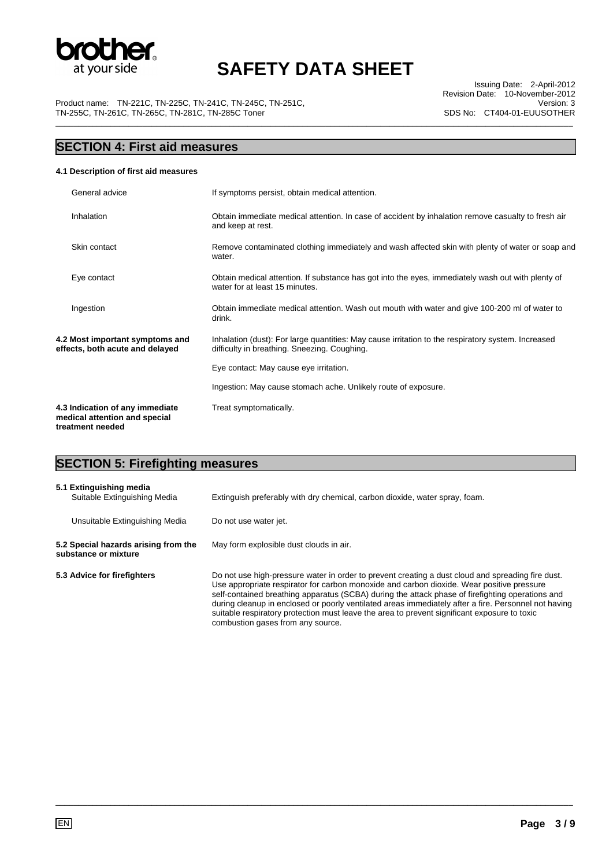

Product name: TN-221C, TN-225C, TN-241C, TN-245C, TN-251C, TN-255C, TN-261C, TN-265C, TN-281C, TN-285C Toner \_\_\_\_\_\_\_\_\_\_\_\_\_\_\_\_\_\_\_\_\_\_\_\_\_\_\_\_\_\_\_\_\_\_\_\_\_\_\_\_\_\_\_\_\_\_\_\_\_\_\_\_\_\_\_\_\_\_\_\_\_\_\_\_\_\_\_\_\_\_\_\_\_\_\_\_\_\_\_\_\_\_\_\_\_\_\_\_\_\_\_\_\_\_\_\_\_\_\_\_\_\_\_\_\_\_\_\_\_\_\_\_\_

Issuing Date: 2-April-2012 Revision Date: 10-November-2012 Version: 3 SDS No: CT404-01-EUUSOTHER

## **SECTION 4: First aid measures**

#### **4.1 Description of first aid measures**

| General advice                                                                       | If symptoms persist, obtain medical attention.                                                                                                     |
|--------------------------------------------------------------------------------------|----------------------------------------------------------------------------------------------------------------------------------------------------|
| Inhalation                                                                           | Obtain immediate medical attention. In case of accident by inhalation remove casualty to fresh air<br>and keep at rest.                            |
| Skin contact                                                                         | Remove contaminated clothing immediately and wash affected skin with plenty of water or soap and<br>water.                                         |
| Eye contact                                                                          | Obtain medical attention. If substance has got into the eyes, immediately wash out with plenty of<br>water for at least 15 minutes.                |
| Ingestion                                                                            | Obtain immediate medical attention. Wash out mouth with water and give 100-200 ml of water to<br>drink.                                            |
| 4.2 Most important symptoms and<br>effects, both acute and delayed                   | Inhalation (dust): For large quantities: May cause irritation to the respiratory system. Increased<br>difficulty in breathing. Sneezing. Coughing. |
|                                                                                      | Eye contact: May cause eye irritation.                                                                                                             |
|                                                                                      | Ingestion: May cause stomach ache. Unlikely route of exposure.                                                                                     |
| 4.3 Indication of any immediate<br>medical attention and special<br>treatment needed | Treat symptomatically.                                                                                                                             |

### **SECTION 5: Firefighting measures**

| 5.1 Extinguishing media<br>Suitable Extinguishing Media      | Extinguish preferably with dry chemical, carbon dioxide, water spray, foam.                                                                                                                                                                                                                                                                                                                                                                                                                                                                     |
|--------------------------------------------------------------|-------------------------------------------------------------------------------------------------------------------------------------------------------------------------------------------------------------------------------------------------------------------------------------------------------------------------------------------------------------------------------------------------------------------------------------------------------------------------------------------------------------------------------------------------|
| Unsuitable Extinguishing Media                               | Do not use water jet.                                                                                                                                                                                                                                                                                                                                                                                                                                                                                                                           |
| 5.2 Special hazards arising from the<br>substance or mixture | May form explosible dust clouds in air.                                                                                                                                                                                                                                                                                                                                                                                                                                                                                                         |
| 5.3 Advice for firefighters                                  | Do not use high-pressure water in order to prevent creating a dust cloud and spreading fire dust.<br>Use appropriate respirator for carbon monoxide and carbon dioxide. Wear positive pressure<br>self-contained breathing apparatus (SCBA) during the attack phase of firefighting operations and<br>during cleanup in enclosed or poorly ventilated areas immediately after a fire. Personnel not having<br>suitable respiratory protection must leave the area to prevent significant exposure to toxic<br>combustion gases from any source. |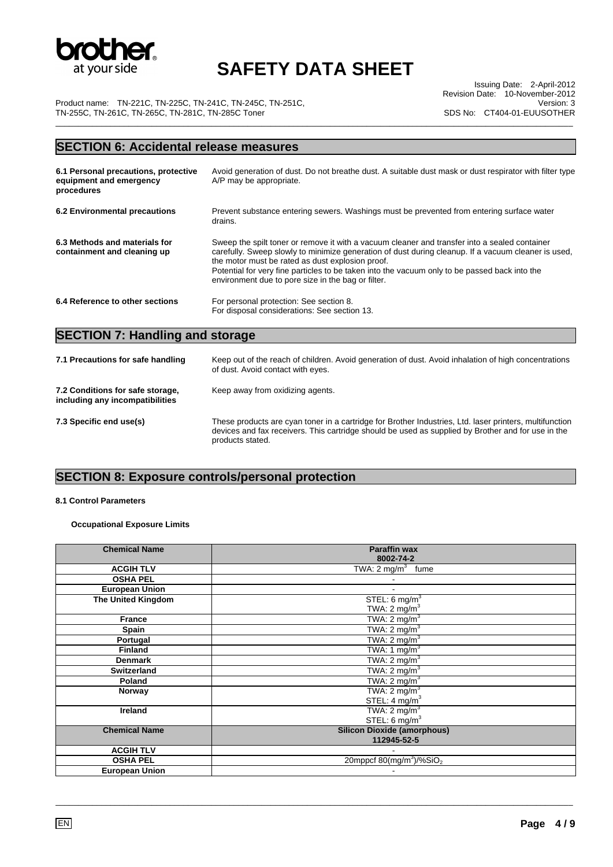

Issuing Date: 2-April-2012 Revision Date: 10-November-2012 Version: 3 SDS No: CT404-01-EUUSOTHER

Product name: TN-221C, TN-225C, TN-241C, TN-245C, TN-251C, TN-255C, TN-261C, TN-265C, TN-281C, TN-285C Toner \_\_\_\_\_\_\_\_\_\_\_\_\_\_\_\_\_\_\_\_\_\_\_\_\_\_\_\_\_\_\_\_\_\_\_\_\_\_\_\_\_\_\_\_\_\_\_\_\_\_\_\_\_\_\_\_\_\_\_\_\_\_\_\_\_\_\_\_\_\_\_\_\_\_\_\_\_\_\_\_\_\_\_\_\_\_\_\_\_\_\_\_\_\_\_\_\_\_\_\_\_\_\_\_\_\_\_\_\_\_\_\_\_

## **SECTION 6: Accidental release measures**

| 6.1 Personal precautions, protective<br>equipment and emergency<br>procedures | Avoid generation of dust. Do not breathe dust. A suitable dust mask or dust respirator with filter type<br>A/P may be appropriate.                                                                                                                                                                                                                                                                              |
|-------------------------------------------------------------------------------|-----------------------------------------------------------------------------------------------------------------------------------------------------------------------------------------------------------------------------------------------------------------------------------------------------------------------------------------------------------------------------------------------------------------|
| 6.2 Environmental precautions                                                 | Prevent substance entering sewers. Washings must be prevented from entering surface water<br>drains.                                                                                                                                                                                                                                                                                                            |
| 6.3 Methods and materials for<br>containment and cleaning up                  | Sweep the spilt toner or remove it with a vacuum cleaner and transfer into a sealed container<br>carefully. Sweep slowly to minimize generation of dust during cleanup. If a vacuum cleaner is used,<br>the motor must be rated as dust explosion proof.<br>Potential for very fine particles to be taken into the vacuum only to be passed back into the<br>environment due to pore size in the bag or filter. |
| 6.4 Reference to other sections                                               | For personal protection: See section 8.<br>For disposal considerations: See section 13.                                                                                                                                                                                                                                                                                                                         |

# **SECTION 7: Handling and storage**

| 7.1 Precautions for safe handling                                   | Keep out of the reach of children. Avoid generation of dust. Avoid inhalation of high concentrations<br>of dust. Avoid contact with eyes.                                                                                         |
|---------------------------------------------------------------------|-----------------------------------------------------------------------------------------------------------------------------------------------------------------------------------------------------------------------------------|
| 7.2 Conditions for safe storage,<br>including any incompatibilities | Keep away from oxidizing agents.                                                                                                                                                                                                  |
| 7.3 Specific end use(s)                                             | These products are cyan toner in a cartridge for Brother Industries, Ltd. laser printers, multifunction<br>devices and fax receivers. This cartridge should be used as supplied by Brother and for use in the<br>products stated. |

### **SECTION 8: Exposure controls/personal protection**

#### **8.1 Control Parameters**

#### **Occupational Exposure Limits**

| <b>Chemical Name</b>      | <b>Paraffin wax</b>                              |
|---------------------------|--------------------------------------------------|
|                           | 8002-74-2                                        |
| <b>ACGIH TLV</b>          | TWA: $2 \text{ mg/m}^3$ fume                     |
| <b>OSHA PEL</b>           |                                                  |
| <b>European Union</b>     |                                                  |
| <b>The United Kingdom</b> | STEL: 6 mg/m <sup>3</sup>                        |
|                           | TWA: $2 \text{ mg/m}^3$                          |
| <b>France</b>             | TWA: $2 \text{ mg/m}^3$                          |
| Spain                     | TWA: $2 \text{ mg/m}^3$                          |
| Portugal                  | TWA: $2 \text{ mg/m}^3$                          |
| <b>Finland</b>            | TWA: 1 mg/m <sup>3</sup>                         |
| <b>Denmark</b>            | TWA: $2 \text{ mg/m}^3$                          |
| <b>Switzerland</b>        | TWA: $2 \text{ mg/m}^3$                          |
| Poland                    | TWA: $2 \text{ mg/m}^3$                          |
| Norway                    | TWA: $2 \text{ mg/m}^3$                          |
|                           | STEL: $4 \text{ mg/m}^3$                         |
| <b>Ireland</b>            | TWA: $2 \text{ mg/m}^3$                          |
|                           | STEL: $6 \text{ mg/m}^3$                         |
| <b>Chemical Name</b>      | <b>Silicon Dioxide (amorphous)</b>               |
|                           | 112945-52-5                                      |
| <b>ACGIH TLV</b>          |                                                  |
| <b>OSHA PEL</b>           | 20mppcf 80(mg/m <sup>3</sup> )/%SiO <sub>2</sub> |
| <b>European Union</b>     |                                                  |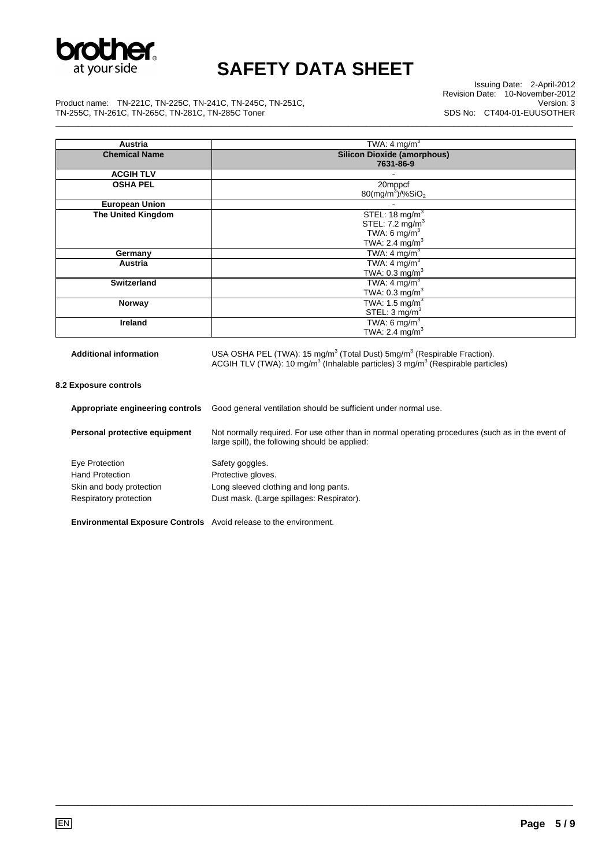

Issuing Date: 2-April-2012 Revision Date: 10-November-2012 Version: 3 SDS No: CT404-01-EUUSOTHER

Product name: TN-221C, TN-225C, TN-241C, TN-245C, TN-251C, TN-255C, TN-261C, TN-265C, TN-281C, TN-285C Toner \_\_\_\_\_\_\_\_\_\_\_\_\_\_\_\_\_\_\_\_\_\_\_\_\_\_\_\_\_\_\_\_\_\_\_\_\_\_\_\_\_\_\_\_\_\_\_\_\_\_\_\_\_\_\_\_\_\_\_\_\_\_\_\_\_\_\_\_\_\_\_\_\_\_\_\_\_\_\_\_\_\_\_\_\_\_\_\_\_\_\_\_\_\_\_\_\_\_\_\_\_\_\_\_\_\_\_\_\_\_\_\_\_

| Austria                       | TWA: $4 \text{ mg/m}^3$                                                                                  |
|-------------------------------|----------------------------------------------------------------------------------------------------------|
| <b>Chemical Name</b>          | <b>Silicon Dioxide (amorphous)</b>                                                                       |
|                               | 7631-86-9                                                                                                |
| <b>ACGIH TLV</b>              |                                                                                                          |
| <b>OSHA PEL</b>               | 20mppcf                                                                                                  |
|                               | $80 \, \text{(mg/m}^3) / \% \, \text{SiO}_2$                                                             |
| <b>European Union</b>         |                                                                                                          |
| <b>The United Kingdom</b>     | STEL: $18 \text{ mg/m}^3$                                                                                |
|                               | STEL: $7.2 \text{ mg/m}^3$                                                                               |
|                               | TWA: 6 mg/ $m3$                                                                                          |
|                               | TWA: 2.4 $mg/m3$                                                                                         |
| Germany                       | TWA: 4 mg/m <sup>3</sup>                                                                                 |
| <b>Austria</b>                | TWA: 4 mg/m <sup>3</sup>                                                                                 |
|                               | TWA: $0.3 \text{ mg/m}^3$                                                                                |
| <b>Switzerland</b>            | TWA: $4 \text{ mg/m}^3$                                                                                  |
|                               | TWA: $0.3 \text{ mg/m}^3$                                                                                |
| Norway                        | TWA: 1.5 mg/m $3$                                                                                        |
|                               | STEL: $3 \text{ mg/m}^3$                                                                                 |
| <b>Ireland</b>                | TWA: $6 \text{ mg/m}^3$                                                                                  |
|                               | TWA: 2.4 mg/m <sup>3</sup>                                                                               |
|                               |                                                                                                          |
| <b>Additional information</b> | USA OSHA PEL (TWA): 15 mg/m <sup>3</sup> (Total Dust) 5mg/m <sup>3</sup> (Respirable Fraction).          |
|                               | ACGIH TLV (TWA): 10 $mg/m3$ (Inhalable particles) $\frac{3}{3}$ mg/m <sup>3</sup> (Respirable particles) |
|                               |                                                                                                          |

**8.2 Exposure controls** 

| Appropriate engineering controls                                         | Good general ventilation should be sufficient under normal use.                                                                                     |
|--------------------------------------------------------------------------|-----------------------------------------------------------------------------------------------------------------------------------------------------|
| Personal protective equipment                                            | Not normally required. For use other than in normal operating procedures (such as in the event of<br>large spill), the following should be applied: |
| Eye Protection                                                           | Safety goggles.                                                                                                                                     |
| <b>Hand Protection</b>                                                   | Protective gloves.                                                                                                                                  |
| Skin and body protection                                                 | Long sleeved clothing and long pants.                                                                                                               |
| Respiratory protection                                                   | Dust mask. (Large spillages: Respirator).                                                                                                           |
| <b>Environmental Exposure Controls</b> Avoid release to the environment. |                                                                                                                                                     |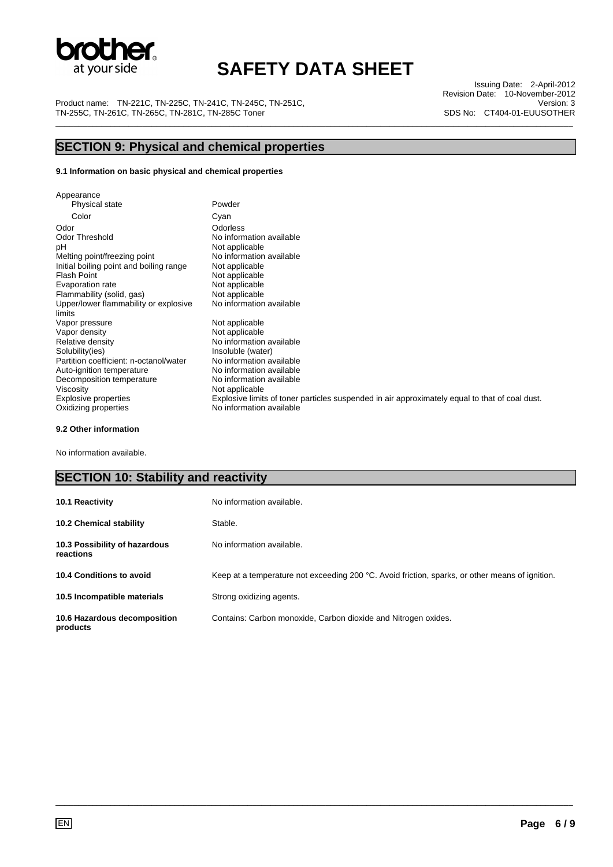

Product name: TN-221C, TN-225C, TN-241C, TN-245C, TN-251C, TN-255C, TN-261C, TN-265C, TN-281C, TN-285C Toner \_\_\_\_\_\_\_\_\_\_\_\_\_\_\_\_\_\_\_\_\_\_\_\_\_\_\_\_\_\_\_\_\_\_\_\_\_\_\_\_\_\_\_\_\_\_\_\_\_\_\_\_\_\_\_\_\_\_\_\_\_\_\_\_\_\_\_\_\_\_\_\_\_\_\_\_\_\_\_\_\_\_\_\_\_\_\_\_\_\_\_\_\_\_\_\_\_\_\_\_\_\_\_\_\_\_\_\_\_\_\_\_\_

Issuing Date: 2-April-2012 Revision Date: 10-November-2012 Version: 3 SDS No: CT404-01-EUUSOTHER

# **SECTION 9: Physical and chemical properties**

#### **9.1 Information on basic physical and chemical properties**

| Appearance                                      |                                                                                                |
|-------------------------------------------------|------------------------------------------------------------------------------------------------|
| Physical state                                  | Powder                                                                                         |
| Color                                           | Cyan                                                                                           |
| Odor                                            | Odorless                                                                                       |
| <b>Odor Threshold</b>                           | No information available                                                                       |
| рH                                              | Not applicable                                                                                 |
| Melting point/freezing point                    | No information available                                                                       |
| Initial boiling point and boiling range         | Not applicable                                                                                 |
| Flash Point                                     | Not applicable                                                                                 |
| Evaporation rate                                | Not applicable                                                                                 |
| Flammability (solid, gas)                       | Not applicable                                                                                 |
| Upper/lower flammability or explosive<br>limits | No information available                                                                       |
| Vapor pressure                                  | Not applicable                                                                                 |
| Vapor density                                   | Not applicable                                                                                 |
| Relative density                                | No information available                                                                       |
| Solubility(ies)                                 | Insoluble (water)                                                                              |
| Partition coefficient: n-octanol/water          | No information available                                                                       |
| Auto-ignition temperature                       | No information available                                                                       |
| Decomposition temperature                       | No information available                                                                       |
| Viscosity                                       | Not applicable                                                                                 |
| Explosive properties                            | Explosive limits of toner particles suspended in air approximately equal to that of coal dust. |
| Oxidizing properties                            | No information available                                                                       |

#### **9.2 Other information**

No information available.

### **SECTION 10: Stability and reactivity**

| 10.1 Reactivity                            | No information available.                                                                       |
|--------------------------------------------|-------------------------------------------------------------------------------------------------|
| <b>10.2 Chemical stability</b>             | Stable.                                                                                         |
| 10.3 Possibility of hazardous<br>reactions | No information available.                                                                       |
| 10.4 Conditions to avoid                   | Keep at a temperature not exceeding 200 °C. Avoid friction, sparks, or other means of ignition. |
| 10.5 Incompatible materials                | Strong oxidizing agents.                                                                        |
| 10.6 Hazardous decomposition<br>products   | Contains: Carbon monoxide, Carbon dioxide and Nitrogen oxides.                                  |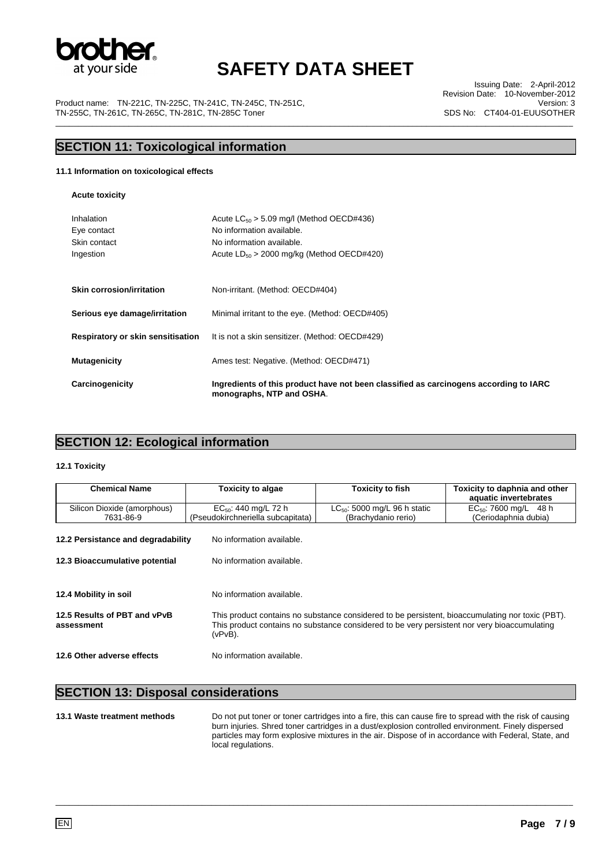

Product name: TN-221C, TN-225C, TN-241C, TN-245C, TN-251C, TN-255C, TN-261C, TN-265C, TN-281C, TN-285C Toner \_\_\_\_\_\_\_\_\_\_\_\_\_\_\_\_\_\_\_\_\_\_\_\_\_\_\_\_\_\_\_\_\_\_\_\_\_\_\_\_\_\_\_\_\_\_\_\_\_\_\_\_\_\_\_\_\_\_\_\_\_\_\_\_\_\_\_\_\_\_\_\_\_\_\_\_\_\_\_\_\_\_\_\_\_\_\_\_\_\_\_\_\_\_\_\_\_\_\_\_\_\_\_\_\_\_\_\_\_\_\_\_\_

Issuing Date: 2-April-2012 Revision Date: 10-November-2012 Version: 3 SDS No: CT404-01-EUUSOTHER

### **SECTION 11: Toxicological information**

#### **11.1 Information on toxicological effects**

**Acute toxicity** 

| Carcinogenicity                                        | Ingredients of this product have not been classified as carcinogens according to IARC<br>monographs, NTP and OSHA.                                        |
|--------------------------------------------------------|-----------------------------------------------------------------------------------------------------------------------------------------------------------|
| <b>Mutagenicity</b>                                    | Ames test: Negative. (Method: OECD#471)                                                                                                                   |
| Respiratory or skin sensitisation                      | It is not a skin sensitizer. (Method: OECD#429)                                                                                                           |
| Serious eye damage/irritation                          | Minimal irritant to the eye. (Method: OECD#405)                                                                                                           |
| <b>Skin corrosion/irritation</b>                       | Non-irritant. (Method: OECD#404)                                                                                                                          |
| Inhalation<br>Eye contact<br>Skin contact<br>Ingestion | Acute $LC_{50} > 5.09$ mg/l (Method OECD#436)<br>No information available.<br>No information available.<br>Acute $LD_{50} > 2000$ mg/kg (Method OECD#420) |

### **SECTION 12: Ecological information**

#### **12.1 Toxicity**

| <b>Chemical Name</b>               | <b>Toxicity to algae</b>          | <b>Toxicity to fish</b>                                                                          | Toxicity to daphnia and other |  |
|------------------------------------|-----------------------------------|--------------------------------------------------------------------------------------------------|-------------------------------|--|
|                                    |                                   |                                                                                                  | aquatic invertebrates         |  |
| Silicon Dioxide (amorphous)        | $EC_{50}$ : 440 mg/L 72 h         | $LC_{50}$ : 5000 mg/L 96 h static                                                                | $EC_{50}$ : 7600 mg/L 48 h    |  |
| 7631-86-9                          | (Pseudokirchneriella subcapitata) | (Brachydanio rerio)                                                                              | (Ceriodaphnia dubia)          |  |
|                                    |                                   |                                                                                                  |                               |  |
| 12.2 Persistance and degradability | No information available.         |                                                                                                  |                               |  |
|                                    |                                   |                                                                                                  |                               |  |
|                                    | No information available.         |                                                                                                  |                               |  |
| 12.3 Bioaccumulative potential     |                                   |                                                                                                  |                               |  |
|                                    |                                   |                                                                                                  |                               |  |
|                                    |                                   |                                                                                                  |                               |  |
| 12.4 Mobility in soil              | No information available.         |                                                                                                  |                               |  |
|                                    |                                   |                                                                                                  |                               |  |
| 12.5 Results of PBT and vPvB       |                                   | This product contains no substance considered to be persistent, bioaccumulating nor toxic (PBT). |                               |  |
| assessment                         |                                   | This product contains no substance considered to be very persistent nor very bioaccumulating     |                               |  |
|                                    | (vPvB).                           |                                                                                                  |                               |  |
|                                    |                                   |                                                                                                  |                               |  |
| 12.6 Other adverse effects         | No information available.         |                                                                                                  |                               |  |
|                                    |                                   |                                                                                                  |                               |  |

#### **SECTION 13: Disposal considerations**

**13.1 Waste treatment methods** Do not put toner or toner cartridges into a fire, this can cause fire to spread with the risk of causing burn injuries. Shred toner cartridges in a dust/explosion controlled environment. Finely dispersed particles may form explosive mixtures in the air. Dispose of in accordance with Federal, State, and local regulations.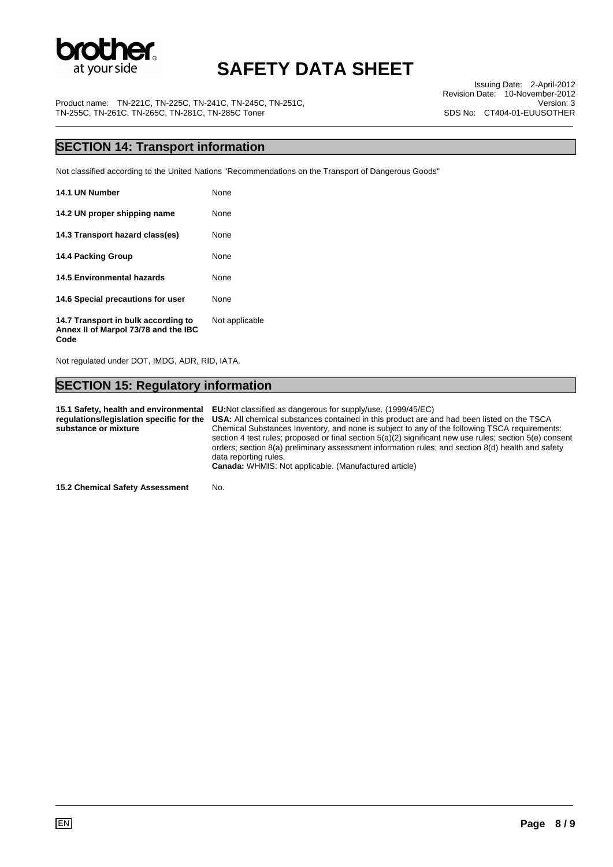

Issuing Date: 2-April-2012 Revision Date: 10-November-2012 Version: 3 SDS No: CT404-01-EUUSOTHER

Product name: TN-221C, TN-225C, TN-241C, TN-245C, TN-251C, TN-255C, TN-261C, TN-265C, TN-281C, TN-285C Toner \_\_\_\_\_\_\_\_\_\_\_\_\_\_\_\_\_\_\_\_\_\_\_\_\_\_\_\_\_\_\_\_\_\_\_\_\_\_\_\_\_\_\_\_\_\_\_\_\_\_\_\_\_\_\_\_\_\_\_\_\_\_\_\_\_\_\_\_\_\_\_\_\_\_\_\_\_\_\_\_\_\_\_\_\_\_\_\_\_\_\_\_\_\_\_\_\_\_\_\_\_\_\_\_\_\_\_\_\_\_\_\_\_

### **SECTION 14: Transport information**

Not classified according to the United Nations "Recommendations on the Transport of Dangerous Goods"

| 14.1 UN Number                                                              | None           |
|-----------------------------------------------------------------------------|----------------|
| 14.2 UN proper shipping name                                                | None           |
| 14.3 Transport hazard class(es)                                             | None           |
| 14.4 Packing Group                                                          | None           |
| <b>14.5 Environmental hazards</b>                                           | None           |
| 14.6 Special precautions for user                                           | None           |
| 14.7 Transport in bulk according to<br>Annex II of Marpol 73/78 and the IBC | Not applicable |

Not regulated under DOT, IMDG, ADR, RID, IATA.

**Code** 

### **SECTION 15: Regulatory information**

**15.1 Safety, health and environmental EU:**Not classified as dangerous for supply/use. (1999/45/EC) **regulations/legislation specific for the substance or mixture USA:** All chemical substances contained in this product are and had been listed on the TSCA Chemical Substances Inventory, and none is subject to any of the following TSCA requirements: section 4 test rules; proposed or final section 5(a)(2) significant new use rules; section 5(e) consent orders; section 8(a) preliminary assessment information rules; and section 8(d) health and safety data reporting rules. **Canada:** WHMIS: Not applicable. (Manufactured article)

\_\_\_\_\_\_\_\_\_\_\_\_\_\_\_\_\_\_\_\_\_\_\_\_\_\_\_\_\_\_\_\_\_\_\_\_\_\_\_\_\_\_\_\_\_\_\_\_\_\_\_\_\_\_\_\_\_\_\_\_\_\_\_\_\_\_\_\_\_\_\_\_\_\_\_\_\_\_\_\_\_\_\_\_\_\_\_\_\_\_\_\_\_\_\_\_\_\_\_\_\_\_\_\_\_\_\_\_\_\_\_\_\_

**15.2 Chemical Safety Assessment** No.